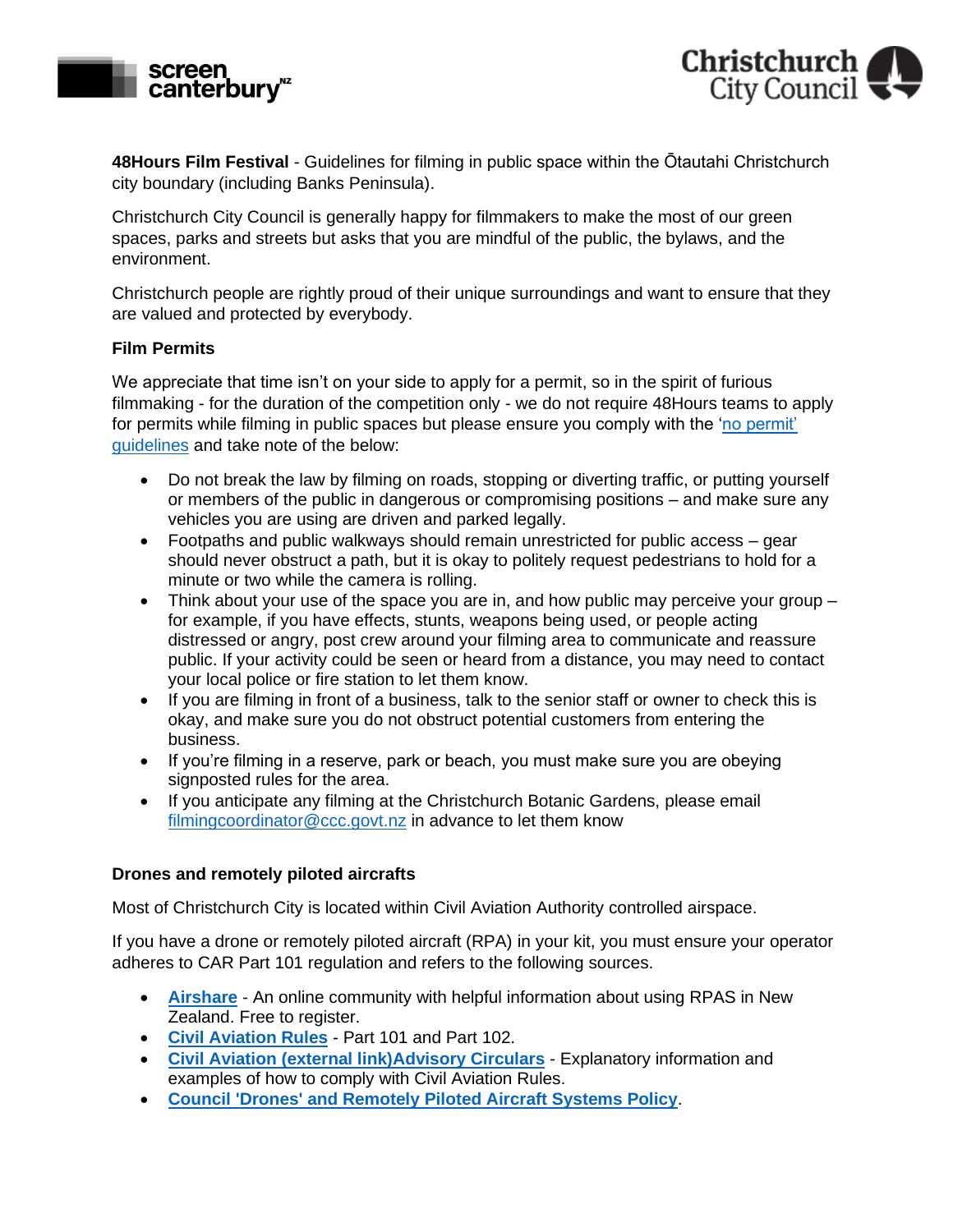



**48Hours Film Festival** - Guidelines for filming in public space within the Ōtautahi Christchurch city boundary (including Banks Peninsula).

Christchurch City Council is generally happy for filmmakers to make the most of our green spaces, parks and streets but asks that you are mindful of the public, the bylaws, and the environment.

Christchurch people are rightly proud of their unique surroundings and want to ensure that they are valued and protected by everybody.

## **Film Permits**

We appreciate that time isn't on your side to apply for a permit, so in the spirit of furious filmmaking - for the duration of the competition only - we do not require 48Hours teams to apply for permits while filming in public spaces but please ensure you comply with the ['no permit'](https://apc01.safelinks.protection.outlook.com/?url=https%3A%2F%2Fccc.govt.nz%2Fconsents-and-licences%2Fbusiness-licences-and-consents%2Ffilming%2Fapply-for-approval-to-film%2F&data=05%7C01%7Clucy.graham%40christchurchnz.com%7Ca0720243ee8646778feb08da385cb921%7C4da8a0e5520e45e8b238a9b8b368c6d7%7C0%7C0%7C637884268154435150%7CUnknown%7CTWFpbGZsb3d8eyJWIjoiMC4wLjAwMDAiLCJQIjoiV2luMzIiLCJBTiI6Ik1haWwiLCJXVCI6Mn0%3D%7C3000%7C%7C%7C&sdata=gE9fFCla2NoVeSczsfuamgr%2FBW2dUwQmTst5Xu2xaRs%3D&reserved=0)  [guidelines](https://apc01.safelinks.protection.outlook.com/?url=https%3A%2F%2Fccc.govt.nz%2Fconsents-and-licences%2Fbusiness-licences-and-consents%2Ffilming%2Fapply-for-approval-to-film%2F&data=05%7C01%7Clucy.graham%40christchurchnz.com%7Ca0720243ee8646778feb08da385cb921%7C4da8a0e5520e45e8b238a9b8b368c6d7%7C0%7C0%7C637884268154435150%7CUnknown%7CTWFpbGZsb3d8eyJWIjoiMC4wLjAwMDAiLCJQIjoiV2luMzIiLCJBTiI6Ik1haWwiLCJXVCI6Mn0%3D%7C3000%7C%7C%7C&sdata=gE9fFCla2NoVeSczsfuamgr%2FBW2dUwQmTst5Xu2xaRs%3D&reserved=0) and take note of the below:

- Do not break the law by filming on roads, stopping or diverting traffic, or putting yourself or members of the public in dangerous or compromising positions – and make sure any vehicles you are using are driven and parked legally.
- Footpaths and public walkways should remain unrestricted for public access gear should never obstruct a path, but it is okay to politely request pedestrians to hold for a minute or two while the camera is rolling.
- Think about your use of the space you are in, and how public may perceive your group  $$ for example, if you have effects, stunts, weapons being used, or people acting distressed or angry, post crew around your filming area to communicate and reassure public. If your activity could be seen or heard from a distance, you may need to contact your local police or fire station to let them know.
- If you are filming in front of a business, talk to the senior staff or owner to check this is okay, and make sure you do not obstruct potential customers from entering the business.
- If you're filming in a reserve, park or beach, you must make sure you are obeying signposted rules for the area.
- If you anticipate any filming at the Christchurch Botanic Gardens, please email [filmingcoordinator@ccc.govt.nz](mailto:filmingcoordinator@ccc.govt.nz) in advance to let them know

## **Drones and remotely piloted aircrafts**

Most of Christchurch City is located within Civil Aviation Authority controlled airspace.

If you have a drone or remotely piloted aircraft (RPA) in your kit, you must ensure your operator adheres to CAR Part 101 regulation and refers to the following sources.

- **[Airshare](https://www.airshare.co.nz/)** An online community with helpful information about using RPAS in New Zealand. Free to register.
- **[Civil Aviation Rules](https://www.caa.govt.nz/rpas/)** Part 101 and Part 102.
- **Civil Aviation [\(external link\)Advisory Circulars](https://www.caa.govt.nz/rules/ACs.htm)** Explanatory information and examples of how to comply with Civil Aviation Rules.
- **[Council 'Drones' and Remotely Piloted Aircraft Systems Policy](https://ccc.govt.nz/the-council/plans-strategies-policies-and-bylaws/policies/transport-parking-and-drones-policies/drones-and-remotely-piloted-aircraft-systems-policy/)**.